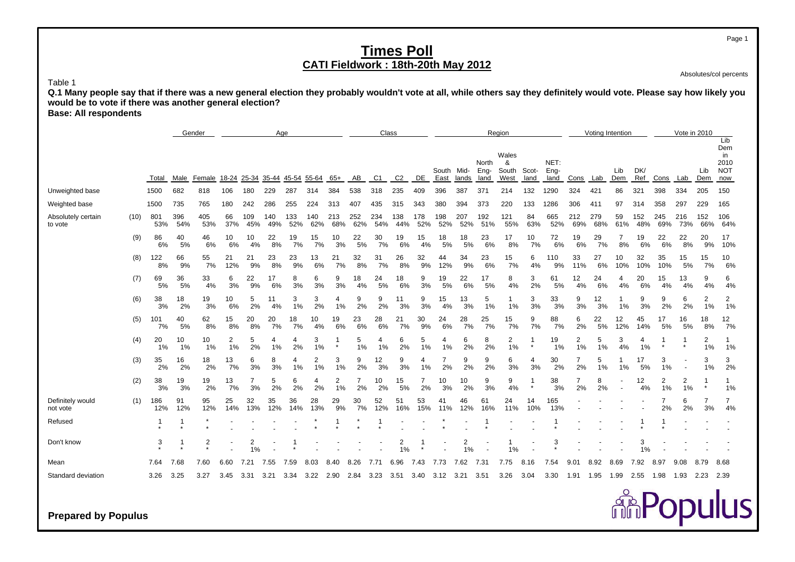Absolutes/col percents

 **Q.1 Many people say that if there was a new general election they probably wouldn't vote at all, while others say they definitely would vote. Please say how likely you would be to vote if there was another general election?**

**Base: All respondents**

Table 1

|                               |      |            |            | Gender     |                      |            | Age         |            |            |            |            | Class      |            |            |                      |            |                       | Region                      |               |                      |                      | Voting Intention |            |            |            | Vote in 2010             |                      |                                               |
|-------------------------------|------|------------|------------|------------|----------------------|------------|-------------|------------|------------|------------|------------|------------|------------|------------|----------------------|------------|-----------------------|-----------------------------|---------------|----------------------|----------------------|------------------|------------|------------|------------|--------------------------|----------------------|-----------------------------------------------|
|                               |      | Total      | Male       | Female     | 18-24 25-34          |            | 35-44 45-54 |            | 55-64      | 65+        | AB         | C1         | C2         | DE         | South Mid-<br>East   | lands      | North<br>Eng-<br>land | Wales<br>&<br>South<br>West | Scot-<br>land | NET:<br>Eng-<br>land | Cons                 | Lab              | Lib<br>Dem | DK/<br>Ref | Cons       | Lab                      | Lib<br>Dem           | Lib<br>Dem<br>in<br>2010<br><b>NOT</b><br>now |
| Unweighted base               |      | 1500       | 682        | 818        | 106                  | 180        | 229         | 287        | 314        | 384        | 538        | 318        | 235        | 409        | 396                  | 387        | 371                   | 214                         | 132           | 1290                 | 324                  | 421              | 86         | 321        | 398        | 334                      | 205                  | 150                                           |
| Weighted base                 |      | 1500       | 735        | 765        | 180                  | 242        | 286         | 255        | 224        | 313        | 407        | 435        | 315        | 343        | 380                  | 394        | 373                   | 220                         | 133           | 1286                 | 306                  | 411              | 97         | 314        | 358        | 297                      | 229                  | 165                                           |
| Absolutely certain<br>to vote | (10) | 801<br>53% | 396<br>54% | 405<br>53% | 66<br>37%            | 109<br>45% | 140<br>49%  | 133<br>52% | 140<br>62% | 213<br>68% | 252<br>62% | 234<br>54% | 138<br>44% | 178<br>52% | 198<br>52%           | 207<br>52% | 192<br>51%            | 121<br>55%                  | 84<br>63%     | 665<br>52%           | 212<br>69%           | 279<br>68%       | 59<br>61%  | 152<br>48% | 245<br>69% | 216<br>73%               | 152<br>66%           | 106<br>64%                                    |
|                               | (9)  | 86<br>6%   | 40<br>5%   | 46<br>6%   | 10<br>6%             | 10<br>4%   | 22<br>8%    | 19<br>7%   | 15<br>7%   | 10<br>3%   | 22<br>5%   | 30<br>7%   | 19<br>6%   | 15<br>4%   | 18<br>5%             | 18<br>5%   | 23<br>6%              | 17<br>8%                    | 10<br>7%      | 72<br>6%             | 19<br>6%             | 29<br>7%         | 7<br>8%    | 19<br>6%   | 22<br>6%   | 22<br>8%                 | 20<br>9%             | 17<br>10%                                     |
|                               | (8)  | 122<br>8%  | 66<br>9%   | 55<br>7%   | 21<br>12%            | 21<br>9%   | 23<br>8%    | 23<br>9%   | 13<br>6%   | 21<br>7%   | 32<br>8%   | 31<br>7%   | 26<br>8%   | 32<br>9%   | 44<br>12%            | 34<br>9%   | 23<br>6%              | 15<br>7%                    | 6<br>4%       | 110<br>9%            | 33<br>11%            | 27<br>6%         | 10<br>10%  | 32<br>10%  | 35<br>10%  | 15<br>5%                 | 15<br>7%             | 10<br>6%                                      |
|                               | (7)  | 69<br>5%   | 36<br>5%   | 33<br>4%   | 6<br>3%              | 22<br>9%   | 17<br>6%    | 8<br>3%    | 6<br>3%    | 9<br>3%    | 18<br>4%   | 24<br>5%   | 18<br>6%   | 9<br>3%    | 19<br>5%             | 22<br>6%   | 17<br>5%              | 8<br>4%                     | 3<br>2%       | 61<br>5%             | 12<br>4%             | 24<br>6%         | 4<br>4%    | 20<br>6%   | 15<br>4%   | 13<br>4%                 | 9<br>4%              | 6<br>4%                                       |
|                               | (6)  | 38<br>3%   | 18<br>2%   | 19<br>3%   | 10<br>6%             | 5<br>2%    | 11<br>4%    | 3<br>$1\%$ | 3<br>2%    | 4<br>1%    | 9<br>2%    | 9<br>2%    | 11<br>3%   | 9<br>3%    | 15<br>4%             | 13<br>3%   | 5<br>1%               | 1<br>1%                     | 3<br>3%       | 33<br>3%             | 9<br>3%              | 12<br>3%         | 1%         | 9<br>3%    | 9<br>2%    | 6<br>2%                  | $\overline{2}$<br>1% | 2<br>1%                                       |
|                               | (5)  | 101<br>7%  | 40<br>5%   | 62<br>8%   | 15<br>8%             | 20<br>8%   | 20<br>7%    | 18<br>7%   | 10<br>4%   | 19<br>6%   | 23<br>6%   | 28<br>6%   | 21<br>7%   | 30<br>9%   | 24<br>6%             | 28<br>7%   | 25<br>7%              | 15<br>7%                    | 9<br>7%       | 88<br>7%             | 6<br>2%              | 22<br>5%         | 12<br>12%  | 45<br>14%  | 17<br>5%   | 16<br>5%                 | 18<br>8%             | 12<br>7%                                      |
|                               | (4)  | 20<br>1%   | 10<br>1%   | 10<br>1%   | $\overline{2}$<br>1% | 5<br>2%    | 4<br>1%     | 4<br>2%    | 3<br>1%    |            | 5<br>1%    | 4<br>1%    | 6<br>2%    | 5<br>1%    | 4<br>1%              | 6<br>2%    | 8<br>2%               | 2<br>1%                     |               | 19<br>1%             | $\overline{2}$<br>1% | 5<br>$1\%$       | 3<br>4%    | 4<br>1%    |            |                          | $\overline{2}$<br>1% | 1%                                            |
|                               | (3)  | 35<br>2%   | 16<br>2%   | 18<br>2%   | 13<br>7%             | 6<br>3%    | 8<br>3%     | 1%         | 2<br>1%    | 3<br>1%    | 9<br>2%    | 12<br>3%   | 9<br>3%    | 4<br>1%    | $\overline{7}$<br>2% | 9<br>2%    | 9<br>2%               | 6<br>3%                     | 4<br>3%       | 30<br>2%             | $\overline{7}$<br>2% | 5<br>1%          | 1%         | 17<br>5%   | 3<br>1%    | $\overline{\phantom{a}}$ | 3<br>1%              | 3<br>2%                                       |
|                               | (2)  | 38<br>3%   | 19<br>3%   | 19<br>2%   | 13<br>7%             | 3%         | 5<br>2%     | 6<br>2%    | 2%         | 2<br>1%    | 2%         | 10<br>2%   | 15<br>5%   | 2%         | 10<br>3%             | 10<br>2%   | 9<br>3%               | 9<br>4%                     |               | 38<br>3%             | 7<br>2%              | 8<br>2%          |            | 12<br>4%   | 2<br>1%    | 2<br>1%                  |                      | 1<br>1%                                       |
| Definitely would<br>not vote  | (1)  | 186<br>12% | 91<br>12%  | 95<br>12%  | 25<br>14%            | 32<br>13%  | 35<br>12%   | 36<br>14%  | 28<br>13%  | 29<br>9%   | 30<br>7%   | 52<br>12%  | 51<br>16%  | 53<br>15%  | 41<br>11%            | 46<br>12%  | 61<br>16%             | 24<br>11%                   | 14<br>10%     | 165<br>13%           |                      |                  |            |            | 7<br>2%    | 6<br>2%                  | 3%                   | $\overline{7}$<br>4%                          |
| Refused                       |      | -1         |            |            |                      |            |             |            |            |            |            |            |            |            |                      |            |                       |                             |               |                      |                      |                  |            |            |            |                          |                      |                                               |
| Don't know                    |      | 3          |            | 2          |                      | 2<br>1%    |             |            |            |            |            |            | 2<br>1%    |            |                      | 1%         |                       | 1%                          |               |                      |                      |                  |            | 3<br>1%    |            |                          |                      |                                               |
| Mean                          |      | 7.64       | 7.68       | 7.60       | 6.60                 | 7.21       | 7.55        | 7.59       | 8.03       | 8.40       | 8.26       | 7.71       | 6.96       | 7.43       | 7.73                 | 7.62       | 7.31                  | 7.75                        | 8.16          | 7.54                 | 9.01                 | 8.92             | 8.69       | 7.92       | 8.97       | 9.08                     | 8.79                 | 8.68                                          |
| Standard deviation            |      | 3.26       | 3.25       | 3.27       | 3.45                 | 3.31       | 3.21        | 3.34       | 3.22       | 2.90       | 2.84       | 3.23       | 3.51       | 3.40       | 3.12 3.21            |            | 3.51                  | 3.26                        | 3.04          | 3.30                 | 1.91                 | 1.95             | 1.99       | 2.55 1.98  |            | 1.93                     | 2.23 2.39            |                                               |
| <b>Prepared by Populus</b>    |      |            |            |            |                      |            |             |            |            |            |            |            |            |            |                      |            |                       |                             |               |                      |                      |                  |            |            |            |                          |                      | <b>ARPopulus</b>                              |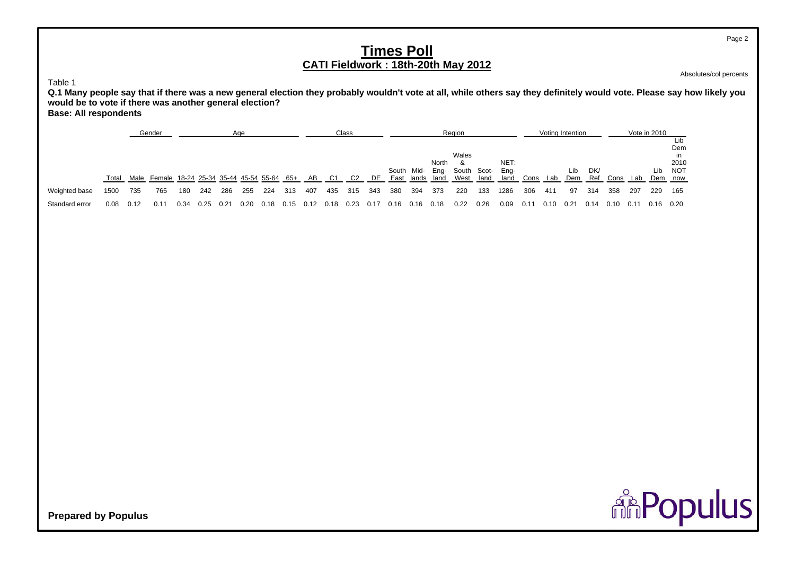Absolutes/col percents

Page 2

Table 1

 **Q.1 Many people say that if there was a new general election they probably wouldn't vote at all, while others say they definitely would vote. Please say how likely you would be to vote if there was another general election? Base: All respondents**

Gender<u>r — Age Class — Class Region Voting Intention Vote in 2010</u> Lib Demin Walesin the second contract of the second contract of the second contract of the second contract of the second contract of the second contract of the second contract of the second contract of the second contract of the second c North & NET: 2010 South Mid-South Mid- Eng- South Scot- Eng- Lib DK/ Lib NOT<br>East lands land We<u>st land land Cons Lab Dem Ref Cons Lab Dem now</u> Total Male Female 18-24 25-34 35-44 45-54 55-64 65+ ABC1 C2 DE East lands land West land land Cons Lab Cons Lab Weighted base 1500 735 765 180 242 286 255 224 313 407 435 315 343 380 394 373 220 133 1286 306 411 97 314 358 297 229 165 Standard error 0.080.12 0.11 0.34 0.25 0.21 0.20 0.18 0.15 0.12 0.18 0.23 0.17 0.16 0.16 0.18 0.22 0.26 0.09 0.11 0.10 0.21 0.14 0.10 0.11 0.16 0.20

**ARPopulus**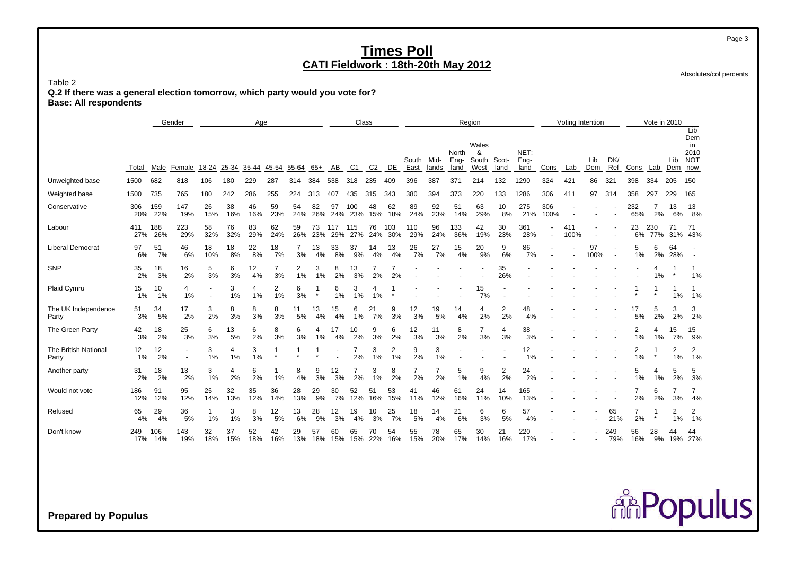Absolutes/col percents

Table 2 **Q.2 If there was a general election tomorrow, which party would you vote for? Base: All respondents**

|                               |            |            | Gender     |           |                             | Age       |           |           |           |            |               | Class          |            |               |               |                       | Region                      |               |                      |                | Voting Intention |                |            |            | Vote in 2010         |                    |                                        |
|-------------------------------|------------|------------|------------|-----------|-----------------------------|-----------|-----------|-----------|-----------|------------|---------------|----------------|------------|---------------|---------------|-----------------------|-----------------------------|---------------|----------------------|----------------|------------------|----------------|------------|------------|----------------------|--------------------|----------------------------------------|
|                               | Total      | Male       | Female     | 18-24     | 25-34 35-44 45-54 55-64 65+ |           |           |           |           | AB         | C1            | C <sub>2</sub> | DE         | South<br>East | Mid-<br>lands | North<br>Eng-<br>land | Wales<br>&<br>South<br>West | Scot-<br>land | NET:<br>Eng-<br>land | Cons           | Lab              | Lib<br>Dem     | DK/<br>Ref | Cons       |                      | Lib<br>Lab Dem now | Lib<br>Dem<br>in<br>2010<br><b>NOT</b> |
| Unweighted base               | 1500       | 682        | 818        | 106       | 180                         | 229       | 287       | 314       | 384       | 538        | 318           | 235            | 409        | 396           | 387           | 371                   | 214                         | 132           | 1290                 | 324            | 421              | 86             | 321        | 398        | 334                  | 205                | 150                                    |
| Weighted base                 | 1500       | 735        | 765        | 180       | 242                         | 286       | 255       | 224       | 313       | 407        | 435           | 315            | 343        | 380           | 394           | 373                   | 220                         | 133           | 1286                 | 306            | 411              | 97             | 314        | 358        | 297                  | 229                | 165                                    |
| Conservative                  | 306<br>20% | 159<br>22% | 147<br>19% | 26<br>15% | 38<br>16%                   | 46<br>16% | 59<br>23% | 54<br>24% | 82<br>26% | 97<br>24%  | 100<br>23%    | 48<br>15%      | 62<br>18%  | 89<br>24%     | 92<br>23%     | 51<br>14%             | 63<br>29%                   | 10<br>8%      | 275<br>21%           | 306<br>100%    |                  |                |            | 232<br>65% | 2%                   | 13<br>6%           | 13<br>8%                               |
| Labour                        | 411<br>27% | 188<br>26% | 223<br>29% | 58<br>32% | 76<br>32%                   | 83<br>29% | 62<br>24% | 59<br>26% | 73<br>23% | 117<br>29% | 115           | 76<br>24%      | 103<br>30% | 110<br>29%    | 96<br>24%     | 133<br>36%            | 42<br>19%                   | 30<br>23%     | 361<br>28%           | $\blacksquare$ | 411<br>100%      |                |            | 23<br>6%   | 230<br>77%           | 71<br>31%          | 71<br>43%                              |
| Liberal Democrat              | 97<br>6%   | 51<br>7%   | 46<br>6%   | 18<br>10% | 18<br>8%                    | 22<br>8%  | 18<br>7%  | 3%        | 13<br>4%  | 33<br>8%   | 37<br>9%      | 14<br>4%       | 13<br>4%   | 26<br>7%      | 27<br>7%      | 15<br>4%              | 20<br>9%                    | 9<br>6%       | 86<br>7%             |                |                  | 97<br>100%     |            | 5<br>1%    | 6<br>2%              | 64<br>28%          |                                        |
| SNP                           | 35<br>2%   | 18<br>3%   | 16<br>2%   | 5<br>3%   | 6<br>3%                     | 12<br>4%  | 3%        | 2<br>1%   | 3<br>1%   | 2%         | 13<br>3%      | 2%             | 2%         |               |               |                       |                             | 35<br>26%     |                      |                |                  |                |            |            | $\overline{4}$<br>1% |                    | 1%                                     |
| Plaid Cymru                   | 15<br>1%   | 10<br>1%   | 4<br>1%    |           | 3<br>1%                     | 4<br>1%   | 2<br>1%   | 6<br>3%   |           | 6<br>1%    | 3<br>1%       | 4<br>1%        |            |               |               |                       | 15<br>7%                    |               |                      |                |                  |                |            |            | $\star$              | 1%                 | 1%                                     |
| The UK Independence<br>Party  | 51<br>3%   | 34<br>5%   | 17<br>2%   | 3<br>2%   | 8<br>3%                     | 8<br>3%   | 8<br>3%   | 11<br>5%  | 13<br>4%  | 15<br>4%   | 6<br>1%       | 21<br>7%       | 9<br>3%    | 12<br>3%      | 19<br>5%      | 14<br>4%              | 4<br>2%                     | 2<br>2%       | 48<br>4%             |                |                  |                |            | 17<br>5%   | 5<br>2%              | 3<br>2%            | 3<br>2%                                |
| The Green Party               | 42<br>3%   | 18<br>2%   | 25<br>3%   | 6<br>3%   | 13<br>5%                    | 6<br>2%   | 8<br>3%   | 6<br>3%   | 1%        | 17         | 10<br>2%      | 9<br>3%        | 6<br>2%    | 12<br>3%      | 11<br>3%      | 8<br>2%               | 3%                          | 4<br>3%       | 38<br>3%             |                |                  |                |            | 2<br>1%    | 1%                   | 15<br>7%           | 15<br>9%                               |
| The British National<br>Party | 12<br>1%   | 12<br>2%   |            | 3<br>1%   | 4<br>1%                     | 3<br>1%   |           |           |           |            | 2%            | 3<br>1%        | 2<br>1%    | 9<br>2%       | 3<br>1%       |                       |                             |               | 12<br>1%             |                |                  |                |            | 2<br>1%    |                      | 2<br>1%            | 2<br>1%                                |
| Another party                 | 31<br>2%   | 18<br>2%   | 13<br>2%   | 3<br>1%   | 4<br>2%                     | 6<br>2%   | 1%        | 8<br>4%   | 9<br>3%   | 12<br>3%   | 2%            | 3<br>1%        | 8<br>2%    | 2%            | 2%            | 5<br>1%               | 9<br>4%                     | 2<br>2%       | 24<br>2%             |                |                  |                |            | 5<br>1%    | 1%                   | 2%                 | 5<br>3%                                |
| Would not vote                | 186<br>12% | 91<br>12%  | 95<br>12%  | 25<br>14% | 32<br>13%                   | 35<br>12% | 36<br>14% | 28<br>13% | 29<br>9%  | 30<br>7%   | 52<br>12%     | 51<br>16%      | 53<br>15%  | 41<br>11%     | 46<br>12%     | 61<br>16%             | 24<br>11%                   | 14<br>10%     | 165<br>13%           |                |                  |                |            | 7<br>2%    | 6<br>2%              | 3%                 | $\overline{7}$<br>4%                   |
| Refused                       | 65<br>4%   | 29<br>4%   | 36<br>5%   | 1%        | 3<br>1%                     | 8<br>3%   | 12<br>5%  | 13<br>6%  | 28<br>9%  | 12<br>3%   | 19<br>4%      | 10<br>3%       | 25<br>7%   | 18<br>5%      | 14<br>4%      | 21<br>6%              | 6<br>3%                     | 6<br>5%       | 57<br>4%             |                |                  |                | 65<br>21%  | 7<br>2%    | $\star$              | 2<br>1%            | 2<br>1%                                |
| Don't know                    | 249<br>17% | 106<br>14% | 143<br>19% | 32<br>18% | 37<br>15%                   | 52<br>18% | 42<br>16% | 29<br>13% | 57<br>18% | 60         | 65<br>15% 15% | 70<br>22%      | 54<br>16%  | 55<br>15%     | 78<br>20%     | 65<br>17%             | 30<br>14%                   | 21<br>16%     | 220<br>17%           |                |                  | $\blacksquare$ | 249<br>79% | 56<br>16%  | 28<br>9%             | 44                 | 44<br>19% 27%                          |

**Prepared by Populus**

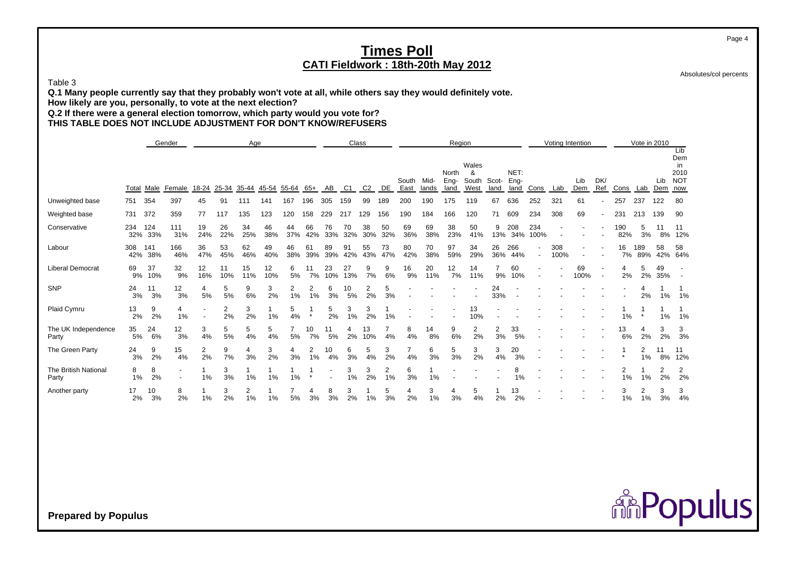Absolutes/col percents

Table 3

**Q.1 Many people currently say that they probably won't vote at all, while others say they would definitely vote.**

**How likely are you, personally, to vote at the next election?**

**Q.2 If there were a general election tomorrow, which party would you vote for?**

**THIS TABLE DOES NOT INCLUDE ADJUSTMENT FOR DON'T KNOW/REFUSERS**

|                               |            |            | Gender     |           |           | Age       |           |           |           |           |           | Class          |           |               |               | Region                |                             |               |                      |             |             | Voting Intention |            |            | Vote in 2010 |            | Lib                                    |
|-------------------------------|------------|------------|------------|-----------|-----------|-----------|-----------|-----------|-----------|-----------|-----------|----------------|-----------|---------------|---------------|-----------------------|-----------------------------|---------------|----------------------|-------------|-------------|------------------|------------|------------|--------------|------------|----------------------------------------|
|                               | Total      | Male       | Female     | 18-24     | 25-34     | 35-44     | 45-54     | 55-64     | 65+       | AB        | C1        | C <sub>2</sub> | DE        | South<br>East | Mid-<br>lands | North<br>Eng-<br>land | Wales<br>&<br>South<br>West | Scot-<br>land | NET:<br>Eng-<br>land | Cons        | Lab         | Lib<br>Dem       | DK/<br>Ref | Cons       | Lab          | Lib<br>Dem | Dem<br>in<br>2010<br><b>NOT</b><br>now |
| Unweighted base               | 751        | 354        | 397        | 45        | 91        | 111       | 141       | 167       | 196       | 305       | 159       | 99             | 189       | 200           | 190           | 175                   | 119                         | 67            | 636                  | 252         | 321         | 61               |            | 257        | 237          | 122        | 80                                     |
| Weighted base                 | 731        | 372        | 359        | 77        | 117       | 135       | 123       | 120       | 158       | 229       | 217       | 129            | 156       | 190           | 184           | 166                   | 120                         | 71            | 609                  | 234         | 308         | 69               |            | 231        | 213          | 139        | 90                                     |
| Conservative                  | 234<br>32% | 124<br>33% | 111<br>31% | 19<br>24% | 26<br>22% | 34<br>25% | 46<br>38% | 44<br>37% | 66<br>42% | 76<br>33% | 70<br>32% | 38<br>30%      | 50<br>32% | 69<br>36%     | 69<br>38%     | 38<br>23%             | 50<br>41%                   | 9<br>13%      | 208<br>34%           | 234<br>100% |             |                  |            | 190<br>82% | 5<br>3%      | 8%         | 11<br>12%                              |
| Labour                        | 308<br>42% | 141<br>38% | 166<br>46% | 36<br>47% | 53<br>45% | 62<br>46% | 49<br>40% | 46<br>38% | 61<br>39% | 89<br>39% | 91<br>42% | 55<br>43%      | 73<br>47% | 80<br>42%     | 70<br>38%     | 97<br>59%             | 34<br>29%                   | 26<br>36%     | 266<br>44%           |             | 308<br>100% |                  |            | 16<br>7%   | 189<br>89%   | 58<br>42%  | 58<br>64%                              |
| <b>Liberal Democrat</b>       | 69<br>9%   | 37<br>10%  | 32<br>9%   | 12<br>16% | 11<br>10% | 15<br>11% | 12<br>10% | 6<br>5%   | 11<br>7%  | 23<br>10% | 27<br>13% | 9<br>7%        | 9<br>6%   | 16<br>9%      | 20<br>11%     | 12<br>7%              | 14<br>11%                   | 9%            | 60<br>10%            |             |             | 69<br>100%       |            | 4<br>2%    | 5<br>2%      | 49<br>35%  |                                        |
| SNP                           | 24<br>3%   | 11<br>3%   | 12<br>3%   | 4<br>5%   | 5<br>5%   | 9<br>6%   | 3<br>2%   | 2<br>1%   | 2<br>1%   | 6<br>3%   | 10<br>5%  | 2%             | 5<br>3%   |               |               |                       |                             | 24<br>33%     |                      |             |             |                  |            |            | 2%           | 1%         | 1%                                     |
| Plaid Cymru                   | 13<br>2%   | 9<br>2%    | 4<br>1%    |           | 2<br>2%   | 3<br>2%   | 1%        | 5<br>4%   | $\star$   | 5<br>2%   | 3<br>1%   | 2%             | 1%        |               |               |                       | 13<br>10%                   |               |                      |             |             |                  |            | 1%         |              | 1%         | 1%                                     |
| The UK Independence<br>Party  | 35<br>5%   | 24<br>6%   | 12<br>3%   | 3<br>4%   | 5<br>5%   | 5<br>4%   | 5<br>4%   | 5%        | 10<br>7%  | 11<br>5%  | 4<br>2%   | 13<br>10%      | 4%        | 8<br>4%       | 14<br>8%      | 9<br>6%               | 2<br>2%                     | 3%            | 33<br>5%             |             |             |                  |            | 13<br>6%   | 2%           | 3<br>2%    | 3<br>3%                                |
| The Green Party               | 24<br>3%   | 9<br>2%    | 15<br>4%   | 2<br>2%   | 9<br>7%   | 4<br>3%   | 3<br>2%   | 4<br>3%   | 1%        | 10<br>4%  | 6<br>3%   | 5<br>4%        | 3<br>2%   | 4%            | 6<br>3%       | 5<br>3%               | 3<br>2%                     | 3<br>4%       | 20<br>3%             |             |             |                  |            |            | 2<br>1%      | 11<br>8%   | 11<br>12%                              |
| The British National<br>Party | 8<br>1%    | 8<br>2%    |            | 1%        | 3<br>3%   | 1%        | 1%        | 1%        |           |           | 3<br>1%   | 3<br>2%        | 2<br>1%   | 6<br>3%       | 1%            |                       |                             |               | 8<br>1%              |             |             |                  |            | 2<br>1%    | 1%           | 2<br>2%    | $\overline{2}$<br>2%                   |
| Another party                 | 17<br>2%   | 10<br>3%   | 8<br>2%    | 1%        | 3<br>2%   | 2<br>1%   | 1%        | 5%        | 3%        | 8<br>3%   | 3<br>2%   | 1%             | 5<br>3%   | 4<br>2%       | 3<br>1%       | 4<br>3%               | 5<br>4%                     | 2%            | 13<br>2%             |             |             |                  |            | 3<br>1%    | $1\%$        | 3<br>3%    | 3<br>4%                                |

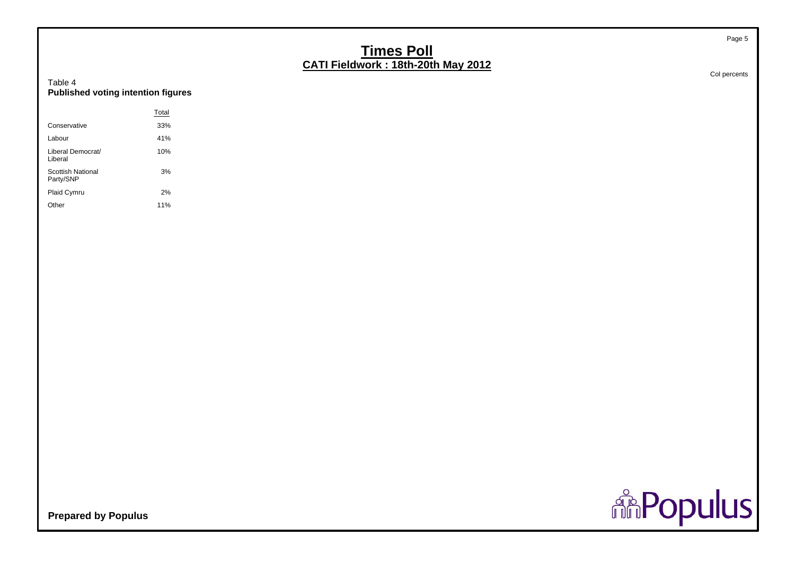#### Table 4**Published voting intention figures**

|                                | Total |
|--------------------------------|-------|
| Conservative                   | 33%   |
| I abour                        | 41%   |
| Liberal Democrat/<br>Liberal   | 10%   |
| Scottish National<br>Party/SNP | 3%    |
| Plaid Cymru                    | 2%    |
| )ther                          | 11%   |

Col percents

Page 5

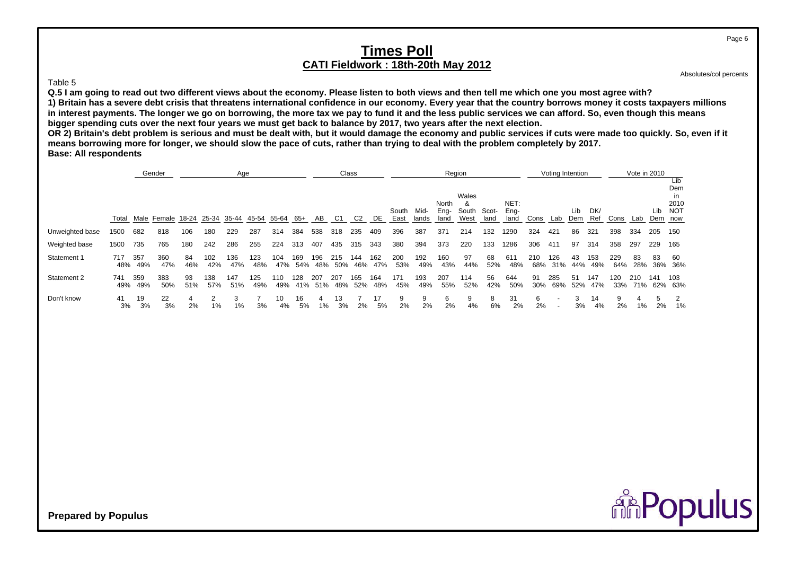#### Table 5

**Q.5 I am going to read out two different views about the economy. Please listen to both views and then tell me which one you most agree with?**

**1) Britain has a severe debt crisis that threatens international confidence in our economy. Every year that the country borrows money it costs taxpayers millions in interest payments. The longer we go on borrowing, the more tax we pay to fund it and the less public services we can afford. So, even though this means bigger spending cuts over the next four years we must get back to balance by 2017, two years after the next election.**

**OR 2) Britain's debt problem is serious and must be dealt with, but it would damage the economy and public services if cuts were made too quickly. So, even if it means borrowing more for longer, we should slow the pace of cuts, rather than trying to deal with the problem completely by 2017. Base: All respondents**

|                 |            |            | Gender            |           |            | Age        |            |            |            |                |            | Class          |            |               |               |                       | Region                      |               |                      |            | Voting Intention |            |            |            | Vote in 2010 |           |                                                   |
|-----------------|------------|------------|-------------------|-----------|------------|------------|------------|------------|------------|----------------|------------|----------------|------------|---------------|---------------|-----------------------|-----------------------------|---------------|----------------------|------------|------------------|------------|------------|------------|--------------|-----------|---------------------------------------------------|
|                 | Total      |            | Male Female 18-24 |           | 25-34      | 35-44      | 45-54      | 55-64      | 65+        | AB             | C1         | C <sub>2</sub> | DE         | South<br>East | Mid-<br>lands | North<br>Eng-<br>land | Wales<br>&<br>South<br>West | Scot-<br>land | NET:<br>Eng-<br>land | Cons       | Lab              | Lib<br>Dem | DK/<br>Ref | Cons       | Lab          | Lib       | Lib<br>Dem<br>in<br>2010<br><b>NOT</b><br>Dem now |
| Unweighted base | 1500       | 682        | 818               | 106       | 180        | 229        | 287        | 314        | 384        | 538            | 318        | 235            | 409        | 396           | 387           | 371                   | 214                         | 132           | 1290                 | 324        | 421              | 86         | 321        | 398        | 334          | 205       | 150                                               |
| Weighted base   | 1500       | 735        | 765               | 180       | 242        | 286        | 255        | 224        | 313        | 407            | 435        | 315            | 343        | 380           | 394           | 373                   | 220                         | 133           | 1286                 | 306        | 411              | 97         | 314        | 358        | 297          | 229       | 165                                               |
| Statement 1     | 717<br>48% | 357<br>49% | 360<br>47%        | 84<br>46% | 102<br>42% | 136<br>47% | 123<br>48% | 104<br>47% | 169<br>54% | 196<br>48%     | 215<br>50% | 144<br>46%     | 162<br>47% | 200<br>53%    | 192<br>49%    | 160<br>43%            | 97<br>44%                   | 68<br>52%     | 611<br>48%           | 210<br>68% | 126<br>31%       | 43<br>44%  | 153<br>49% | 229<br>64% | 83<br>28%    | 83<br>36% | 60<br>36%                                         |
| Statement 2     | 741<br>49% | 359<br>49% | 383<br>50%        | 93<br>51% | 138<br>57% | 147<br>51% | 125<br>49% | 110<br>49% | 128        | 207<br>41% 51% | 207<br>48% | 165<br>52%     | 164<br>48% | 171<br>45%    | 193<br>49%    | 207<br>55%            | 114<br>52%                  | 56<br>42%     | 644<br>50%           | 91<br>30%  | 285<br>69%       | -51<br>52% | 147<br>47% | 120<br>33% | 210<br>71%   | 141       | 103<br>62% 63%                                    |
| Don't know      | 41<br>3%   | 19<br>3%   | 22<br>3%          | 2%        | 1%         | з<br>1%    | 3%         | 10<br>4%   | 16<br>5%   | Δ<br>1%        | 13<br>3%   | 2%             | 17<br>5%   | 9<br>2%       | 9<br>2%       | 6<br>2%               | 9<br>4%                     | 8<br>6%       | 31<br>2%             | 6<br>2%    |                  | 3%         | 14<br>4%   | 9<br>2%    | 1%           | 5<br>2%   | 1%                                                |

Absolutes/col percents

**ARPopulus**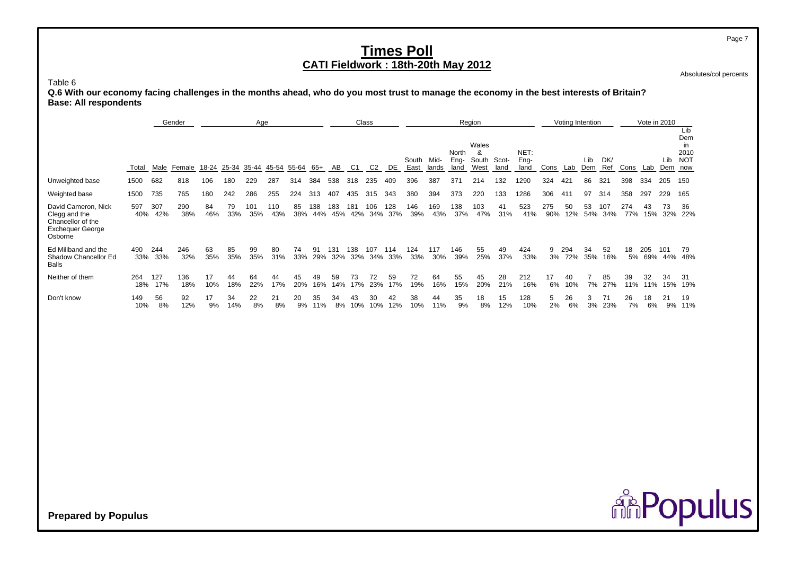Absolutes/col percents

Table 6

 **Q.6 With our economy facing challenges in the months ahead, who do you most trust to manage the economy in the best interests of Britain? Base: All respondents**

|                                                                                                 |            |            | Gender     |           |           | Age        |            |           |            |            |            | Class          |            |               |               |                       | Region                      |               |                      |            | Voting Intention |            |            |            | Vote in 2010 |            | Lib                                     |
|-------------------------------------------------------------------------------------------------|------------|------------|------------|-----------|-----------|------------|------------|-----------|------------|------------|------------|----------------|------------|---------------|---------------|-----------------------|-----------------------------|---------------|----------------------|------------|------------------|------------|------------|------------|--------------|------------|-----------------------------------------|
|                                                                                                 | Total      | Male       | Female     | 18-24     | 25-34     | 35-44      | 45-54      | 55-64     | 65+        | AB         | C1         | C <sub>2</sub> | DE         | South<br>East | Mid-<br>lands | North<br>Eng-<br>land | Wales<br>&<br>South<br>West | Scot-<br>land | NET:<br>Eng-<br>land | Cons       | Lab              | Lib<br>Dem | DK/<br>Ref | Cons       | Lab          | Lib<br>Dem | Dem<br>in.<br>2010<br><b>NOT</b><br>now |
| Unweighted base                                                                                 | 1500       | 682        | 818        | 106       | 180       | 229        | 287        | 314       | 384        | 538        | 318        | 235            | 409        | 396           | 387           | 371                   | 214                         | 132           | 1290                 | 324        | 421              | 86         | 321        | 398        | 334          | 205        | 150                                     |
| Weighted base                                                                                   | 1500       | 735        | 765        | 180       | 242       | 286        | 255        | 224       | 313        | 407        | 435        | 315            | 343        | 380           | 394           | 373                   | 220                         | 133           | 1286                 | 306        | 411              | 97         | 314        | 358        | 297          | 229        | 165                                     |
| David Cameron, Nick<br>Clegg and the<br>Chancellor of the<br><b>Exchequer George</b><br>Osborne | 597<br>40% | 307<br>42% | 290<br>38% | 84<br>46% | 79<br>33% | 101<br>35% | 110<br>43% | 85<br>38% | 138<br>44% | 183<br>45% | 181<br>42% | 106<br>34%     | 128<br>37% | 146<br>39%    | 169<br>43%    | 138<br>37%            | 103<br>47%                  | 41<br>31%     | 523<br>41%           | 275<br>90% | 50<br>12%        | 53<br>54%  | 107<br>34% | 274<br>77% | 43<br>15%    | 73<br>32%  | 36<br>22%                               |
| Ed Miliband and the<br>Shadow Chancellor Ed<br><b>Balls</b>                                     | 490<br>33% | 244<br>33% | 246<br>32% | 63<br>35% | 85<br>35% | 99<br>35%  | 80<br>31%  | 74<br>33% | 91<br>29%  | 131<br>32% | 138<br>32% | 107<br>34%     | 114<br>33% | 124<br>33%    | 117<br>30%    | 146<br>39%            | 55<br>25%                   | 49<br>37%     | 424<br>33%           | 9<br>3%    | 294<br>72%       | 34<br>35%  | 52<br>16%  | 18<br>5%   | 205<br>69%   | 101        | 79<br>44% 48%                           |
| Neither of them                                                                                 | 264<br>18% | 127<br>17% | 136<br>18% | 17<br>10% | 44<br>18% | 64<br>22%  | 44<br>17%  | 45<br>20% | 49<br>16%  | 59<br>14%  | 73<br>17%  | 72<br>23%      | 59<br>17%  | 72<br>19%     | 64<br>16%     | 55<br>15%             | 45<br>20%                   | 28<br>21%     | 212<br>16%           | 17<br>6%   | 40<br>10%        | 7%         | 85<br>27%  | 39<br>11%  | 32<br>11%    | 34<br>15%  | 31<br>19%                               |
| Don't know                                                                                      | 149<br>10% | 56<br>8%   | 92<br>12%  | 17<br>9%  | 34<br>14% | 22<br>8%   | 21<br>8%   | 20<br>9%  | 35<br>11%  | 34<br>8%   | 43<br>10%  | 30<br>10%      | 42<br>12%  | 38<br>10%     | 44<br>11%     | 35<br>9%              | 18<br>8%                    | 15<br>12%     | 128<br>10%           | 5<br>2%    | 26<br>6%         | 3%         | 71<br>23%  | 26<br>7%   | 18<br>6%     | 21<br>9%   | 19<br>11%                               |

**Prepared by Populus**

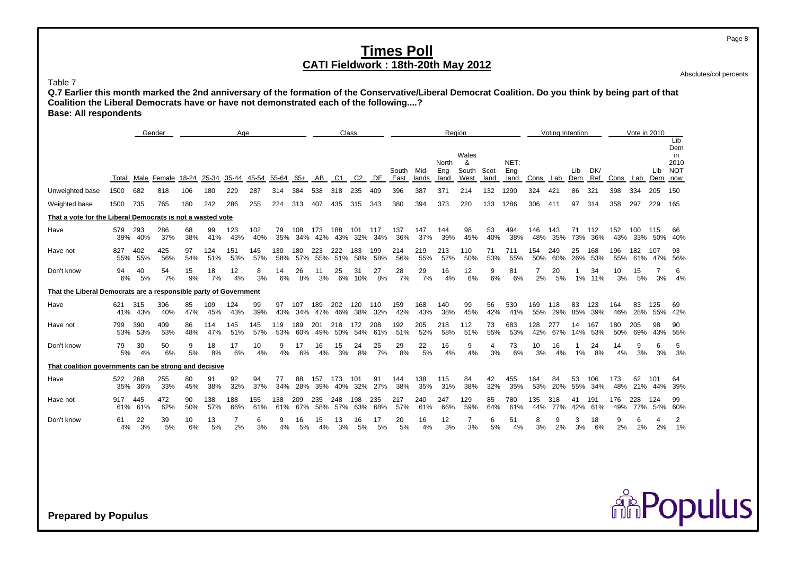Absolutes/col percents

Page 8

Table 7

 **Q.7 Earlier this month marked the 2nd anniversary of the formation of the Conservative/Liberal Democrat Coalition. Do you think by being part of that Coalition the Liberal Democrats have or have not demonstrated each of the following....? Base: All respondents**

|                                                                  |                          | Gender             |           |            | Age                  |                 |            |            |                | Class              |                |            |               |               |              | Region               |           |              |              | Voting Intention |           |                |            | Vote in 2010   |                    |                                        |
|------------------------------------------------------------------|--------------------------|--------------------|-----------|------------|----------------------|-----------------|------------|------------|----------------|--------------------|----------------|------------|---------------|---------------|--------------|----------------------|-----------|--------------|--------------|------------------|-----------|----------------|------------|----------------|--------------------|----------------------------------------|
|                                                                  |                          |                    |           |            |                      |                 |            |            |                |                    |                |            |               |               | North        | Wales<br>&           | Scot-     | NET:         |              |                  |           | DK/            |            |                |                    | Lib<br>Dem<br>in<br>2010<br><b>NOT</b> |
|                                                                  | Male<br>Total            | Female 18-24 25-34 |           |            | 35-44                | 45-54 55-64 65+ |            |            | AB             | C1                 | C <sub>2</sub> | DE         | South<br>East | Mid-<br>lands | Eng-<br>land | South<br>West        | land      | Eng-<br>land | Cons Lab Dem |                  | Lib       | Ref            | Cons       |                | Lib<br>Lab Dem now |                                        |
| Unweighted base                                                  | 682<br>1500              | 818                | 106       | 180        | 229                  | 287             | 314        | 384        | 538            | 318                | 235            | 409        | 396           | 387           | 371          | 214                  | 132       | 1290         | 324          | 421              | 86        | 321            | 398        | 334            | 205                | 150                                    |
| Weighted base                                                    | 1500<br>735              | 765                | 180       | 242        | 286                  | 255             | 224        | 313        | 407            | 435                | 315            | 343        | 380           | 394           | 373          | 220                  | 133       | 1286         | 306          | 411              | 97        | 314            | 358        | 297            | 229                | 165                                    |
| That a vote for the Liberal Democrats is not a wasted vote       |                          |                    |           |            |                      |                 |            |            |                |                    |                |            |               |               |              |                      |           |              |              |                  |           |                |            |                |                    |                                        |
| Have                                                             | 579<br>293<br>40%<br>39% | 286<br>37%         | 68<br>38% | 99<br>41%  | 123<br>43%           | 102<br>40%      | 79<br>35%  | 108        | 173<br>34% 42% | 188<br>43%         | 101<br>32%     | 117<br>34% | 137<br>36%    | 147<br>37%    | 144<br>39%   | 98<br>45%            | 53<br>40% | 494<br>38%   | 146<br>48%   | 143<br>35%       | 71        | 112<br>73% 36% | 152<br>43% | 100<br>33% 50% | 115                | 66<br>40%                              |
| Have not                                                         | 402<br>827<br>55%<br>55% | 425<br>56%         | 97<br>54% | 124<br>51% | 151<br>53%           | 145<br>57%      | 130<br>58% | 180        | 223<br>57% 55% | 222<br>51%         | 183<br>58%     | 199<br>58% | 214<br>56%    | 219<br>55%    | 213<br>57%   | 110<br>50%           | 71<br>53% | 711<br>55%   | 154<br>50%   | 249<br>60%       | 25<br>26% | 168<br>53%     | 196<br>55% | 182            | 107<br>61% 47%     | 93<br>56%                              |
| Don't know                                                       | 94<br>40<br>5%<br>6%     | 54<br>7%           | 15<br>9%  | 18<br>7%   | 12<br>4%             | 8<br>3%         | 14<br>6%   | 26<br>8%   | 11<br>3%       | 25<br>6%           | 31<br>10%      | 27<br>8%   | 28<br>7%      | 29<br>7%      | 16<br>4%     | 12<br>6%             | 9<br>6%   | 81<br>6%     | 2%           | 20<br>5%         | 1%        | 34<br>11%      | 10<br>3%   | 15<br>5%       | 3%                 | 6<br>4%                                |
| That the Liberal Democrats are a responsible party of Government |                          |                    |           |            |                      |                 |            |            |                |                    |                |            |               |               |              |                      |           |              |              |                  |           |                |            |                |                    |                                        |
| Have                                                             | 315<br>621<br>41% 43%    | 306<br>40%         | 85<br>47% | 109<br>45% | 124<br>43%           | 99<br>39%       | 97<br>43%  | 107        | 189<br>34% 47% | 202<br>46%         | 120<br>38%     | 110<br>32% | 159<br>42%    | 168<br>43%    | 140<br>38%   | 99<br>45%            | 56<br>42% | 530<br>41%   | 169<br>55%   | 118<br>29%       | 83<br>85% | 123<br>39%     | 164<br>46% | 83.<br>28%     | 125<br>55%         | 69<br>42%                              |
| Have not                                                         | 390<br>799<br>53%<br>53% | 409<br>53%         | 86<br>48% | 114<br>47% | 145<br>51%           | 145<br>57%      | 119<br>53% | 189        | 201            | 218<br>60% 49% 50% | 172<br>54%     | 208<br>61% | 192<br>51%    | 205<br>52%    | 218<br>58%   | 112<br>51%           | 73<br>55% | 683<br>53%   | 128<br>42%   | 277<br>67%       | 14        | 167<br>14% 53% | 180<br>50% | 205<br>69%     | 98<br>43%          | 90<br>55%                              |
| Don't know                                                       | 30<br>79<br>5%<br>4%     | 50<br>6%           | 9<br>5%   | 18<br>8%   | 17<br>6%             | 10<br>4%        | 9<br>4%    | 17<br>6%   | 16<br>4%       | 15<br>3%           | 24<br>8%       | 25<br>7%   | 29<br>8%      | 22<br>5%      | 16<br>4%     | 9<br>4%              | 4<br>3%   | 73<br>6%     | 10<br>3%     | 16<br>4%         | 1%        | 24<br>8%       | 14<br>4%   | 9<br>3%        | 6<br>3%            | 5<br>3%                                |
| That coalition governments can be strong and decisive            |                          |                    |           |            |                      |                 |            |            |                |                    |                |            |               |               |              |                      |           |              |              |                  |           |                |            |                |                    |                                        |
| Have                                                             | 522<br>268<br>35%<br>36% | 255<br>33%         | 80<br>45% | 91<br>38%  | 92<br>32%            | 94<br>37%       | 77<br>34%  | 88<br>28%  | 157<br>39%     | 173<br>40%         | 101<br>32%     | 91<br>27%  | 144<br>38%    | 138<br>35%    | 115<br>31%   | 84<br>38%            | 42<br>32% | 455<br>35%   | 164<br>53%   | 84<br>20%        | 53<br>55% | 106<br>34%     | 173<br>48% | 62             | 101<br>21% 44%     | 64<br>39%                              |
| Have not                                                         | 445<br>917<br>61% 61%    | 472<br>62%         | 90<br>50% | 138<br>57% | 188<br>66%           | 155<br>61%      | 138<br>61% | 209<br>67% | 235<br>58%     | 248<br>57%         | 198<br>63%     | 235<br>68% | 217<br>57%    | 240<br>61%    | 247<br>66%   | 129<br>59%           | 85<br>64% | 780<br>61%   | 135<br>44%   | 318<br>77%       | 41<br>42% | 191<br>61%     | 176<br>49% | 228            | 124<br>77% 54%     | 99<br>60%                              |
| Don't know                                                       | 22<br>61<br>3%<br>4%     | 39<br>5%           | 10<br>6%  | 13<br>5%   | $\overline{7}$<br>2% | 6<br>3%         | 9<br>4%    | 16<br>5%   | 15<br>4%       | 13<br>3%           | 16<br>5%       | 17<br>5%   | 20<br>5%      | 16<br>4%      | 12<br>3%     | $\overline{7}$<br>3% | 6<br>5%   | 51<br>4%     | 8<br>3%      | 9<br>2%          | 3<br>3%   | 18<br>6%       | 9<br>2%    | 6<br>2%        | 4<br>2%            | 2<br>1%                                |

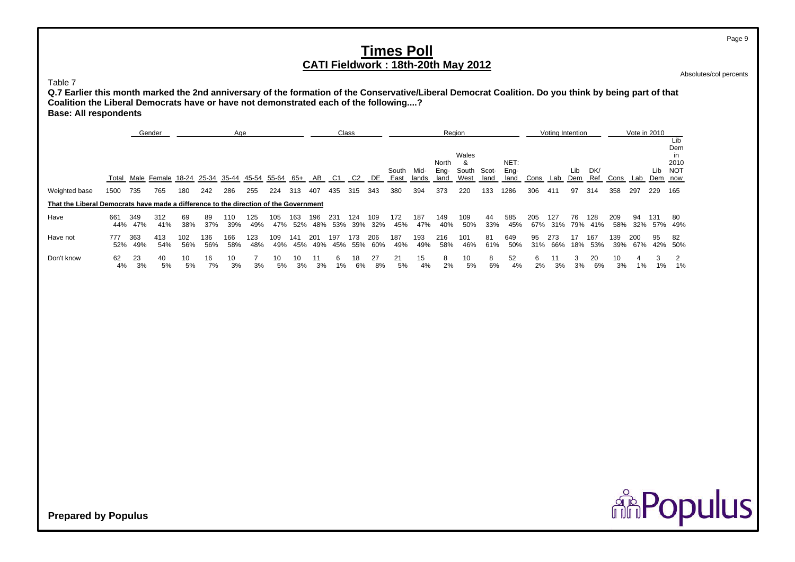Absolutes/col percents

Page 9

Table 7

 **Q.7 Earlier this month marked the 2nd anniversary of the formation of the Conservative/Liberal Democrat Coalition. Do you think by being part of that Coalition the Liberal Democrats have or have not demonstrated each of the following....? Base: All respondents**

|                                                                                      |            |            | Gender            |            |            | Age        |            |            |            |            |            | Class          |            |               |               | Region                |                        |               |                      |            | Voting Intention |            |            |            | Vote in 2010 |            | Lib                                    |
|--------------------------------------------------------------------------------------|------------|------------|-------------------|------------|------------|------------|------------|------------|------------|------------|------------|----------------|------------|---------------|---------------|-----------------------|------------------------|---------------|----------------------|------------|------------------|------------|------------|------------|--------------|------------|----------------------------------------|
|                                                                                      |            |            | Total Male Female | 18-24      | 25-34      | 35-44      | 45-54      | 55-64      | -65+       | AB         | C1         | C <sub>2</sub> | DE         | South<br>East | Mid-<br>lands | North<br>Eng-<br>land | Wales<br>South<br>West | Scot-<br>land | NET:<br>Eng-<br>land | Cons       | Lab              | Lib<br>Dem | DK/<br>Ref | Cons       | Lab          | Lib<br>Dem | Dem<br>in<br>2010<br><b>NOT</b><br>now |
| Weighted base                                                                        | 1500       | 735        | 765               | 180        | 242        | 286        | 255        | 224        | 313        | 407        | 435        | 315            | 343        | 380           | 394           | 373                   | 220                    | 133           | 1286                 | 306        | 411              | 97         | 314        | 358        | 297          | 229        | 165                                    |
| That the Liberal Democrats have made a difference to the direction of the Government |            |            |                   |            |            |            |            |            |            |            |            |                |            |               |               |                       |                        |               |                      |            |                  |            |            |            |              |            |                                        |
| Have                                                                                 | 661<br>44% | 349<br>47% | 312<br>41%        | 69<br>38%  | 89<br>37%  | 110<br>39% | 125<br>49% | 105<br>47% | 163<br>52% | 196<br>48% | 231<br>53% | 124<br>39%     | 109<br>32% | 172<br>45%    | 187<br>47%    | 149<br>40%            | 109<br>50%             | 44<br>33%     | 585<br>45%           | 205<br>67% | 127<br>31%       | 76<br>79%  | 128<br>41% | 209<br>58% | 94<br>32%    | 131<br>57% | 80<br>49%                              |
| Have not                                                                             | 777<br>52% | 363<br>49% | 413<br>54%        | 102<br>56% | 136<br>56% | 166<br>58% | 123<br>48% | 109<br>49% | 141<br>45% | 201<br>49% | 197<br>45% | 173<br>55%     | 206<br>60% | 187<br>49%    | 193<br>49%    | 216<br>58%            | 101<br>46%             | 81<br>61%     | 649<br>50%           | 95<br>31%  | 273<br>66%       | 17<br>18%  | 167<br>53% | 139<br>39% | 200<br>67%   | 95<br>42%  | 82<br>50%                              |
| Don't know                                                                           | 62<br>4%   | 23<br>3%   | 40<br>5%          | 10<br>5%   | 16<br>7%   | 10<br>3%   | 3%         | 10<br>5%   | 10<br>3%   | 3%         | h<br>1%    | 18<br>6%       | 27<br>8%   | 21<br>5%      | 15<br>4%      | 8<br>2%               | 10<br>5%               | 8<br>6%       | 52<br>4%             | 6<br>2%    | 3%               | 3%         | 20<br>6%   | 10<br>3%   | 1%           | 1%         | 1%                                     |

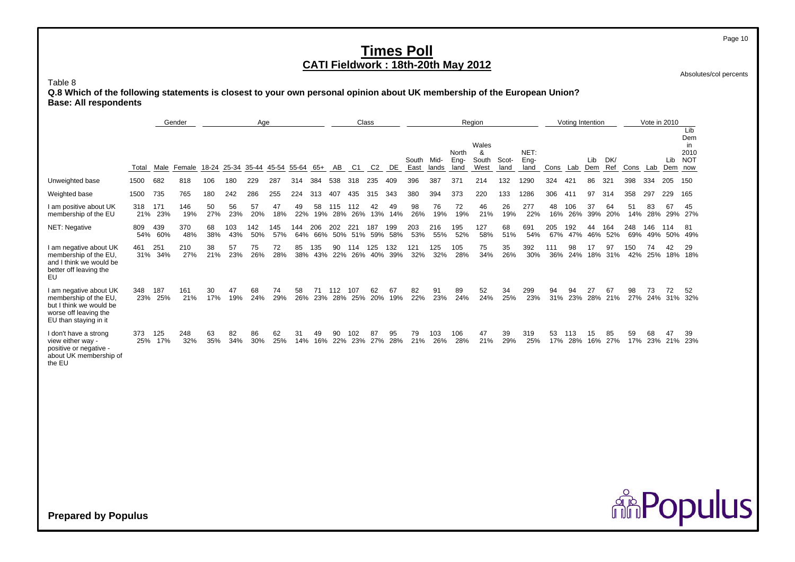Absolutes/col percents

**ARPopulus** 

Page 10

Table 8

 **Q.8 Which of the following statements is closest to your own personal opinion about UK membership of the European Union? Base: All respondents**

|                                                                                                                              |            |            | Gender     |           |            | Age         |            |            |            |                |            | Class      |            |               |               |                       | Region                      |               |                      |            | Voting Intention |            |            |            | Vote in 2010 |                |                                        |
|------------------------------------------------------------------------------------------------------------------------------|------------|------------|------------|-----------|------------|-------------|------------|------------|------------|----------------|------------|------------|------------|---------------|---------------|-----------------------|-----------------------------|---------------|----------------------|------------|------------------|------------|------------|------------|--------------|----------------|----------------------------------------|
|                                                                                                                              | Total      | Male       | Female     | 18-24     | 25-34      | 35-44 45-54 |            | 55-64 65+  |            | AB             | C1         | C2         | DE         | South<br>East | Mid-<br>lands | North<br>Eng-<br>land | Wales<br>&<br>South<br>West | Scot-<br>land | NET:<br>Eng-<br>land | Cons       | Lab              | Lib<br>Dem | DK/<br>Ref | Cons Lab   |              | Lib<br>Dem now | Lib<br>Dem<br>in<br>2010<br><b>NOT</b> |
| Unweighted base                                                                                                              | 1500       | 682        | 818        | 106       | 180        | 229         | 287        | 314        | 384        | 538            | 318        | 235        | 409        | 396           | 387           | 37 <sup>′</sup>       | 214                         | 132           | 1290                 | 324        |                  | 86         | 321        | 398        | 334          | 205            | 150                                    |
| Weighted base                                                                                                                | 1500       | 735        | 765        | 180       | 242        | 286         | 255        | 224        | 313        | 407            | 435        | 315        | 343        | 380           | 394           | 373                   | 220                         | 133           | 1286                 | 306        | 411              | 97         | 314        | 358        | 297          | 229            | 165                                    |
| I am positive about UK<br>membership of the EU                                                                               | 318<br>21% | 171<br>23% | 146<br>19% | 50<br>27% | 56<br>23%  | 57<br>20%   | 47<br>18%  | 49<br>22%  | 58<br>19%  | 115<br>28%     | 112<br>26% | 42<br>13%  | 49<br>14%  | 98<br>26%     | 76<br>19%     | 72<br>19%             | 46<br>21%                   | 26<br>19%     | 277<br>22%           | 48<br>16%  | 106<br>26%       | 37<br>39%  | 64<br>20%  | 51<br>14%  | 83<br>28%    | 67<br>29%      | 45<br>27%                              |
| NET: Negative                                                                                                                | 809<br>54% | 439<br>60% | 370<br>48% | 68<br>38% | 103<br>43% | 142<br>50%  | 145<br>57% | 144<br>64% | 206        | 202<br>66% 50% | 221<br>51% | 187<br>59% | 199<br>58% | 203<br>53%    | 216<br>55%    | 195<br>52%            | 127<br>58%                  | 68<br>51%     | 691<br>54%           | 205<br>67% | 192<br>47%       | 44<br>46%  | 164<br>52% | 248<br>69% | 146<br>49%   | 114<br>50%     | 81<br>49%                              |
| I am negative about UK<br>membership of the EU.<br>and I think we would be<br>better off leaving the<br>EU                   | 461<br>31% | 251<br>34% | 210<br>27% | 38<br>21% | 57<br>23%  | 75<br>26%   | 72<br>28%  | 85<br>38%  | 135<br>43% | 90<br>22%      | 114<br>26% | 125<br>40% | 132<br>39% | 121<br>32%    | 125<br>32%    | 105<br>28%            | 75<br>34%                   | 35<br>26%     | 392<br>30%           | 111<br>36% | 98<br>24%        | 18%        | 97<br>31%  | 150<br>42% | 74<br>25%    | 42<br>18%      | 29<br>18%                              |
| I am negative about UK<br>membership of the EU.<br>but I think we would be<br>worse off leaving the<br>EU than staying in it | 348<br>23% | 187<br>25% | 161<br>21% | 30<br>17% | 47<br>19%  | 68<br>24%   | 74<br>29%  | 58<br>26%  | 71<br>23%  | 112<br>28%     | 107<br>25% | 62<br>20%  | 67<br>19%  | 82<br>22%     | 91<br>23%     | 89<br>24%             | 52<br>24%                   | 34<br>25%     | 299<br>23%           | 94<br>31%  | 94<br>23%        | 27<br>28%  | 67<br>21%  | 98<br>27%  | 73<br>24%    | 72<br>31%      | 52<br>32%                              |
| I don't have a strong<br>view either way -<br>positive or negative -<br>about UK membership of<br>the EU                     | 373<br>25% | 125<br>17% | 248<br>32% | 63<br>35% | 82<br>34%  | 86<br>30%   | 62<br>25%  | 31<br>14%  | 49<br>16%  | 90<br>22%      | 102<br>23% | 87<br>27%  | 95<br>28%  | 79<br>21%     | 103<br>26%    | 106<br>28%            | 47<br>21%                   | 39<br>29%     | 319<br>25%           | 53<br>17%  | 113<br>28%       | 15<br>16%  | 85<br>27%  | 59<br>17%  | 68<br>23%    | 47<br>21%      | 39<br>23%                              |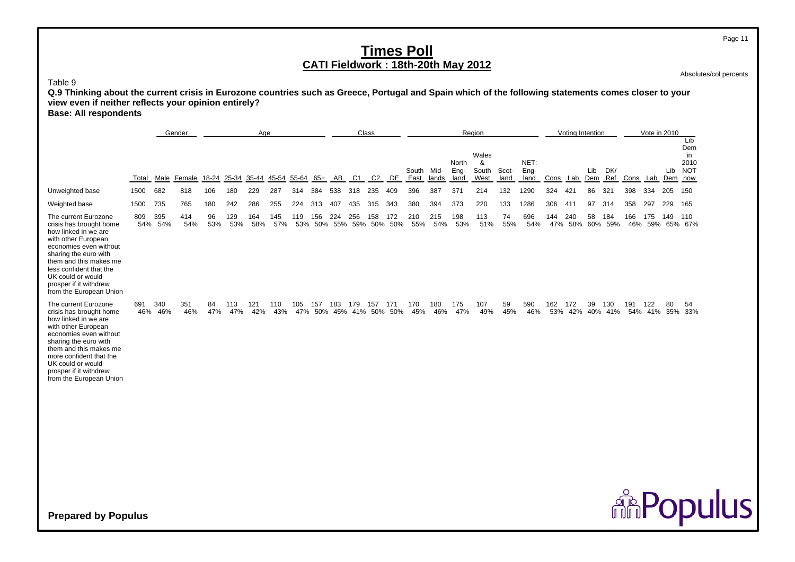Absolutes/col percents

Page 11

Table 9

**Q.9 Thinking about the current crisis in Eurozone countries such as Greece, Portugal and Spain which of the following statements comes closer to your view even if neither reflects your opinion entirely? Base: All respondents**

Gender<u>r Class Den Begion (Voting Intention Dote in 2010 – Vote in 2010</u> Lib Demin Walesin the second contract of the second contract of the second contract of the second contract of the second contract of the second contract of the second contract of the second contract of the second contract of the second c North & NET: 2010 South Mid-Eng- South Scot- Eng- Lib DK/ Lib NOT<br>land West land land Cons Lab Dem Ref Cons Lab Dem now Total Male Female 18-24 25-34 35-44 45-54 55-64 65+ AB C1 C2 DE East lands land West land land Cons Lab DemCons Lab Dem Ref Cons Lab Dem now Unweighted base 1500 682 818 106 180 229 287 314 384 538 318 235 409 396 387 371 214 132 1290 324 421 86 321 398 334 205 150 Weighted base 1500 735 765 180 242 286 255 224 313 407 435 315 343 380 394 373 220 133 1286 306 411 97 314 358 297 229 165 The current Eurozone 809 395 414 96 129 164 145 119 156 224 256 158 172 210 215 198 113 74 696 144 240 58 184 166 175 149 110 crisis has brought home 54% 54% 54% 53% 53% 58% 57% 53% 50% 55% 59% 50% 50% 55% 54% 53% 51% 55% 54% 47% 58% 60% 59% 46% 59% 65% 67% how linked in we are with other European economies even without sharing the euro with them and this makes meless confident that theUK could or would prosper if it withdrew from the European Union The current Eurozone 691 340 351 84 113 121 110 105 157 183 179 157 171 170 180 175 107 59 590 162 172 39 130 191 122 80 54 crisis has brought home 46% 46% 46% 47% 47% 42% 43% 47% 50% 45% 41% 50% 50% 45% 46% 47% 49% 45% 46% 53% 42% 40% 41% 54% 41% 35% 33% how linked in we are with other European economies even without sharing the euro with them and this makes me more confident that theUK could or would prosper if it withdrew from the European Union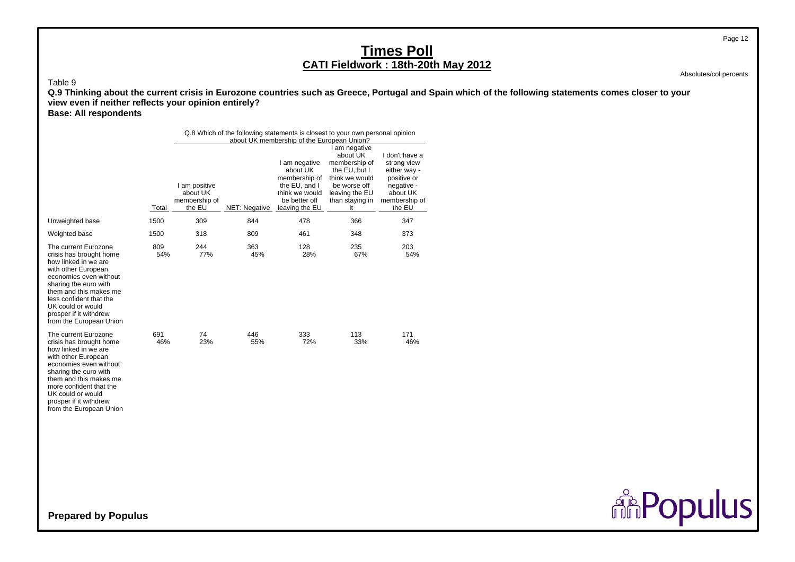Absolutes/col percents

Page 12

#### Table 9

 **Q.9 Thinking about the current crisis in Eurozone countries such as Greece, Portugal and Spain which of the following statements comes closer to your view even if neither reflects your opinion entirely?**

**Base: All respondents**

|                                                                                                                                                                                                                                                                                  |            |                                                      | Q.8 Which of the following statements is closest to your own personal opinion | about UK membership of the European Union?                                                                            |                                                                                                                                          |                                                                                                                   |
|----------------------------------------------------------------------------------------------------------------------------------------------------------------------------------------------------------------------------------------------------------------------------------|------------|------------------------------------------------------|-------------------------------------------------------------------------------|-----------------------------------------------------------------------------------------------------------------------|------------------------------------------------------------------------------------------------------------------------------------------|-------------------------------------------------------------------------------------------------------------------|
|                                                                                                                                                                                                                                                                                  | Total      | I am positive<br>about UK<br>membership of<br>the EU | NET: Negative                                                                 | I am negative<br>about UK<br>membership of<br>the $EU$ , and $I$<br>think we would<br>be better off<br>leaving the EU | I am negative<br>about UK<br>membership of<br>the EU, but I<br>think we would<br>be worse off<br>leaving the EU<br>than staying in<br>it | I don't have a<br>strong view<br>either way -<br>positive or<br>negative -<br>about UK<br>membership of<br>the EU |
| Unweighted base                                                                                                                                                                                                                                                                  | 1500       | 309                                                  | 844                                                                           | 478                                                                                                                   | 366                                                                                                                                      | 347                                                                                                               |
| Weighted base                                                                                                                                                                                                                                                                    | 1500       | 318                                                  | 809                                                                           | 461                                                                                                                   | 348                                                                                                                                      | 373                                                                                                               |
| The current Eurozone<br>crisis has brought home<br>how linked in we are<br>with other European<br>economies even without<br>sharing the euro with<br>them and this makes me<br>less confident that the<br>UK could or would<br>prosper if it withdrew<br>from the European Union | 809<br>54% | 244<br>77%                                           | 363<br>45%                                                                    | 128<br>28%                                                                                                            | 235<br>67%                                                                                                                               | 203<br>54%                                                                                                        |
| The current Eurozone<br>crisis has brought home<br>how linked in we are<br>with other European<br>economies even without<br>sharing the euro with<br>them and this makes me<br>more confident that the<br>UK could or would<br>prosper if it withdrew<br>from the European Union | 691<br>46% | 74<br>23%                                            | 446<br>55%                                                                    | 333<br>72%                                                                                                            | 113<br>33%                                                                                                                               | 171<br>46%                                                                                                        |
| Prenared by Populus                                                                                                                                                                                                                                                              |            |                                                      |                                                                               |                                                                                                                       |                                                                                                                                          |                                                                                                                   |

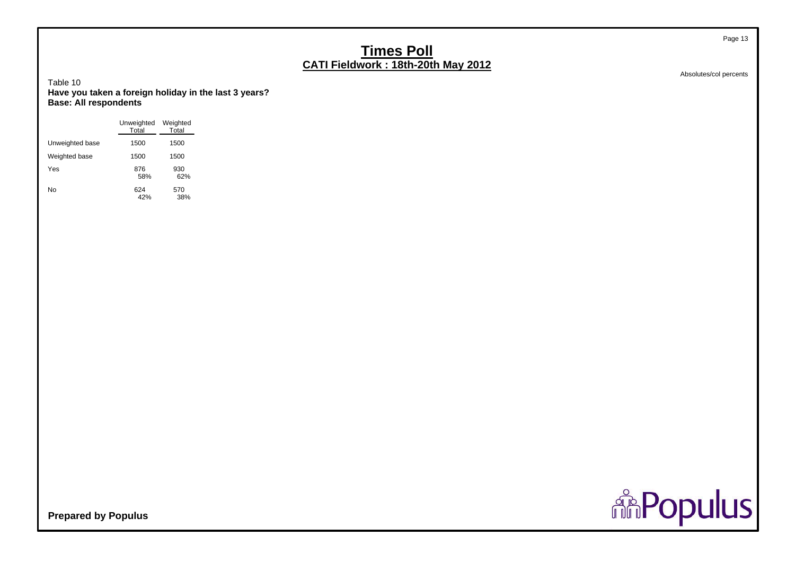Absolutes/col percents

Page 13

Table 10 **Have you taken a foreign holiday in the last 3 years? Base: All respondents**

|                 | Unweighted<br>Total | Weighted<br>Total |  |
|-----------------|---------------------|-------------------|--|
| Unweighted base | 1500                | 1500              |  |
| Weighted base   | 1500                | 1500              |  |
| Yes             | 876<br>58%          | 930<br>62%        |  |
| No              | 624<br>42%          | 570<br>38%        |  |

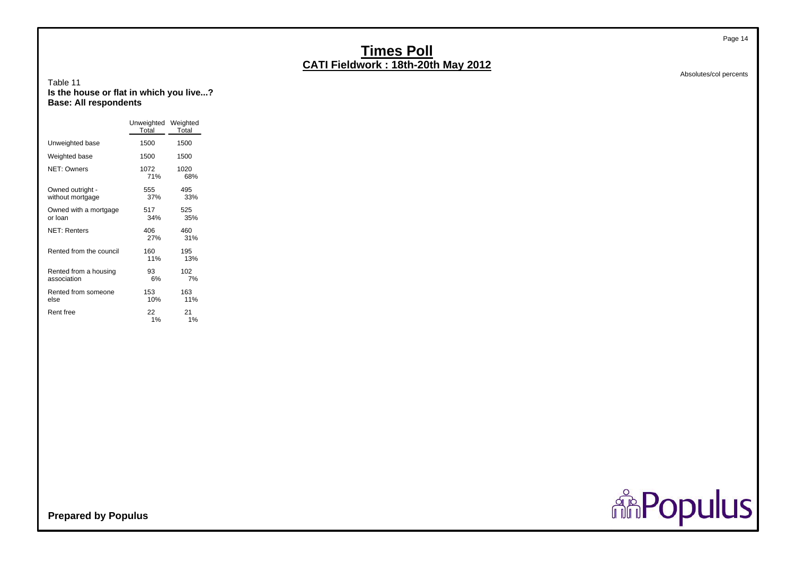Absolutes/col percents

Page 14

#### Table 11 **Is the house or flat in which you live...? Base: All respondents**

|                                      | Unweighted Weighted<br>Total | Total       |
|--------------------------------------|------------------------------|-------------|
| Unweighted base                      | 1500                         | 1500        |
| Weighted base                        | 1500                         | 1500        |
| <b>NET: Owners</b>                   | 1072<br>71%                  | 1020<br>68% |
| Owned outright -<br>without mortgage | 555<br>37%                   | 495<br>33%  |
| Owned with a mortgage<br>or loan     | 517<br>34%                   | 525<br>35%  |
| <b>NET: Renters</b>                  | 406<br>27%                   | 460<br>31%  |
| Rented from the council              | 160<br>11%                   | 195<br>13%  |
| Rented from a housing<br>association | 93<br>6%                     | 102<br>7%   |
| Rented from someone<br>else          | 153<br>10%                   | 163<br>11%  |
| Rent free                            | 22<br>1%                     | 21<br>1%    |

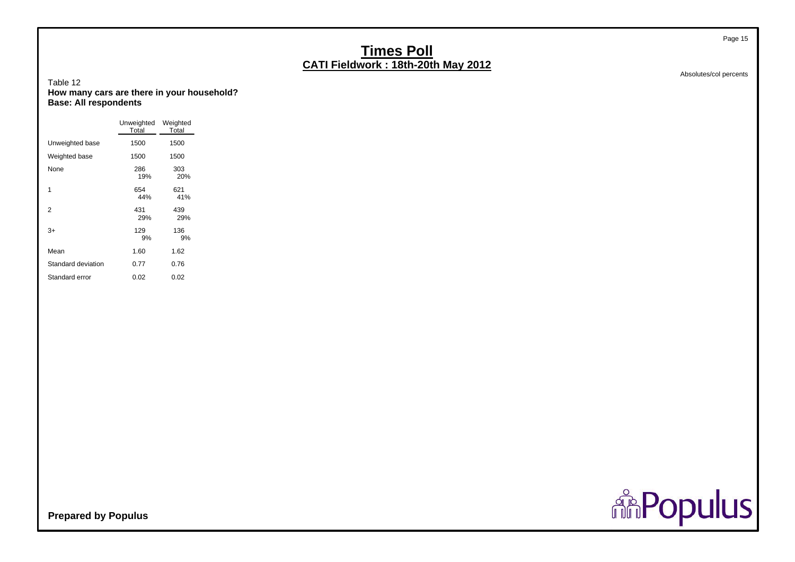Absolutes/col percents

Page 15

#### Table 12 **How many cars are there in your household? Base: All respondents**

|                    | Unweighted<br>Total | Weighted<br>Total |
|--------------------|---------------------|-------------------|
| Unweighted base    | 1500                | 1500              |
| Weighted base      | 1500                | 1500              |
| None               | 286<br>19%          | 303<br>20%        |
| 1                  | 654<br>44%          | 621<br>41%        |
| 2                  | 431<br>29%          | 439<br>29%        |
| 3+                 | 129<br>9%           | 136<br>9%         |
| Mean               | 1.60                | 1.62              |
| Standard deviation | 0.77                | 0.76              |
| Standard error     | 0.02                | 0.02              |

**Repulus**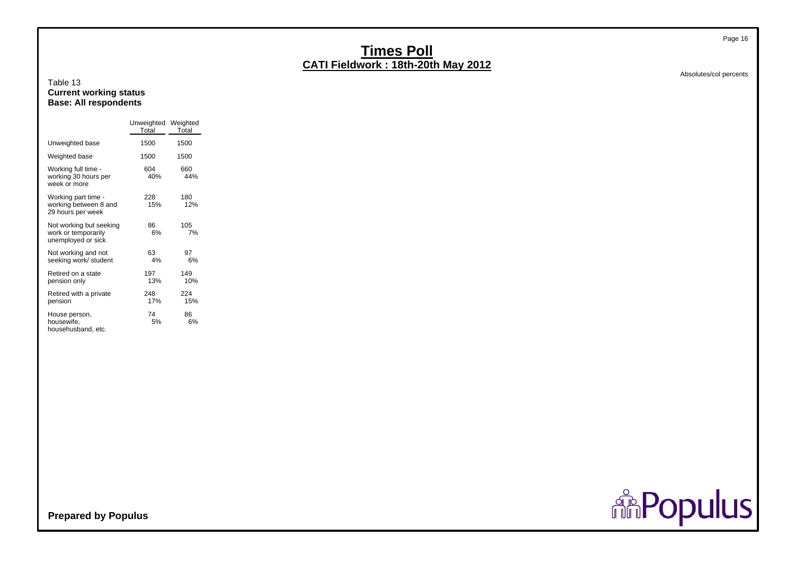#### Table 13 **Current working status Base: All respondents**

|                                                                      | Unweighted Weighted<br>Total | Total      |
|----------------------------------------------------------------------|------------------------------|------------|
| Unweighted base                                                      | 1500                         | 1500       |
| Weighted base                                                        | 1500                         | 1500       |
| Working full time -<br>working 30 hours per<br>week or more          | 604<br>40%                   | 660<br>44% |
| Working part time -<br>working between 8 and<br>29 hours per week    | 228<br>15%                   | 180<br>12% |
| Not working but seeking<br>work or temporarily<br>unemployed or sick | 86<br>6%                     | 105<br>7%  |
| Not working and not<br>seeking work/ student                         | 63<br>4%                     | 97<br>6%   |
| Retired on a state<br>pension only                                   | 197<br>13%                   | 149<br>10% |
| Retired with a private<br>pension                                    | 248<br>17%                   | 224<br>15% |
| House person,<br>housewife,<br>househusband, etc.                    | 74<br>5%                     | 86<br>6%   |

Absolutes/col percents



**Prepared by Populus**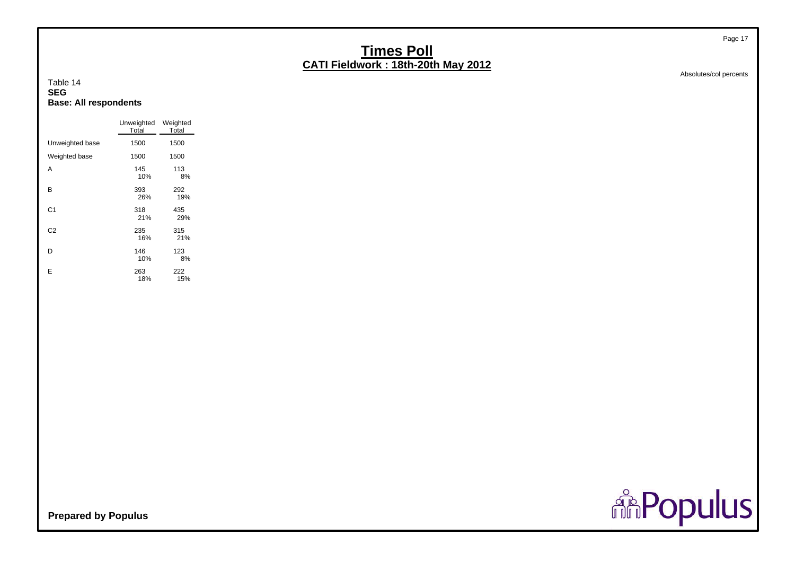#### Absolutes/col percents

Page 17

#### Table 14**SEGBase: All respondents**

|                |                 | Unweighted<br>Total | Weighted<br>Total |
|----------------|-----------------|---------------------|-------------------|
|                | Unweighted base | 1500                | 1500              |
|                | Weighted base   | 1500                | 1500              |
| A              |                 | 145<br>10%          | 113<br>8%         |
| в              |                 | 393<br>26%          | 292<br>19%        |
| C <sub>1</sub> |                 | 318<br>21%          | 435<br>29%        |
| C <sub>2</sub> |                 | 235<br>16%          | 315<br>21%        |
| D              |                 | 146<br>10%          | 123<br>8%         |
| E              |                 | 263<br>18%          | 222<br>15%        |

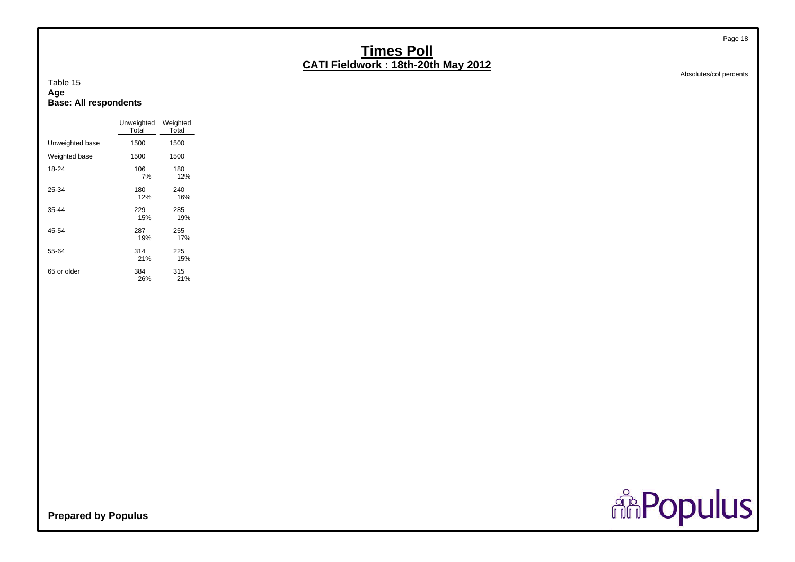**Age Base: All respondents**

Table 15

|                 | Unweighted<br>Total | Weighted<br>Total |
|-----------------|---------------------|-------------------|
| Unweighted base | 1500                | 1500              |
| Weighted base   | 1500                | 1500              |
| 18-24           | 106<br>7%           | 180<br>12%        |
| 25-34           | 180<br>12%          | 240<br>16%        |
| 35-44           | 229<br>15%          | 285<br>19%        |
| 45-54           | 287<br>19%          | 255<br>17%        |
| 55-64           | 314<br>21%          | 225<br>15%        |
| 65 or older     | 384<br>26%          | 315<br>21%        |

Absolutes/col percents

Page 18

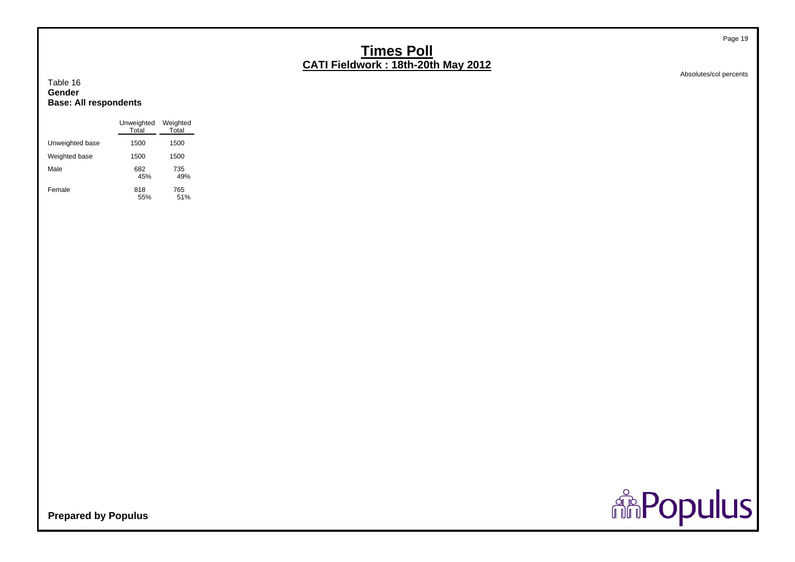Absolutes/col percents

Page 19

#### Table 16 **GenderBase: All respondents**

|                 | Unweighted<br>Total | Weighted<br>Total |
|-----------------|---------------------|-------------------|
| Unweighted base | 1500                | 1500              |
| Weighted base   | 1500                | 1500              |
| Male            | 682<br>45%          | 735<br>49%        |
| Female          | 818<br>55%          | 765<br>51%        |

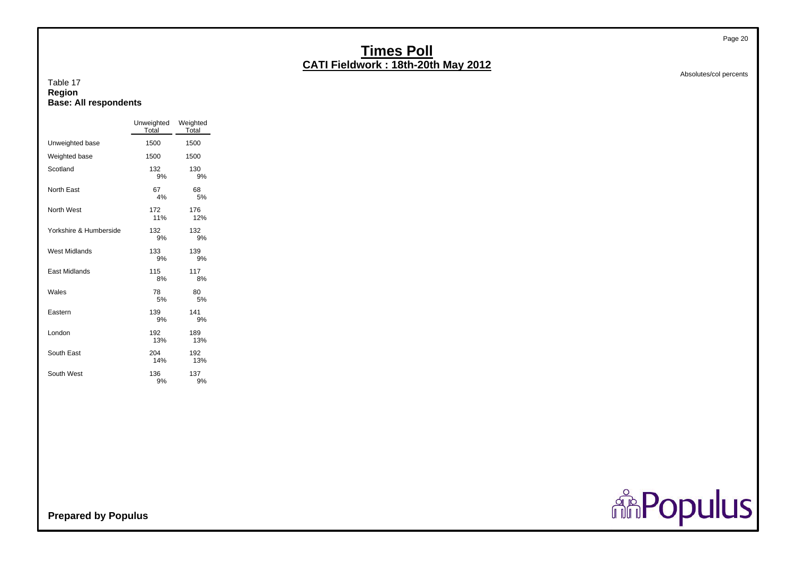#### Absolutes/col percents

#### Table 17 **Region Base: All respondents**

|                        | Unweighted<br>Total | Weighted<br>Total |
|------------------------|---------------------|-------------------|
| Unweighted base        | 1500                | 1500              |
| Weighted base          | 1500                | 1500              |
| Scotland               | 132<br>9%           | 130<br>9%         |
| North East             | 67<br>4%            | 68<br>5%          |
| North West             | 172<br>11%          | 176<br>12%        |
| Yorkshire & Humberside | 132<br>9%           | 132<br>9%         |
| <b>West Midlands</b>   | 133<br>9%           | 139<br>9%         |
| <b>East Midlands</b>   | 115<br>8%           | 117<br>8%         |
| Wales                  | 78<br>5%            | 80<br>5%          |
| Eastern                | 139<br>9%           | 141<br>9%         |
| London                 | 192<br>13%          | 189<br>13%        |
| South East             | 204<br>14%          | 192<br>13%        |
| South West             | 136<br>9%           | 137<br>9%         |

**Prepared by Populus**